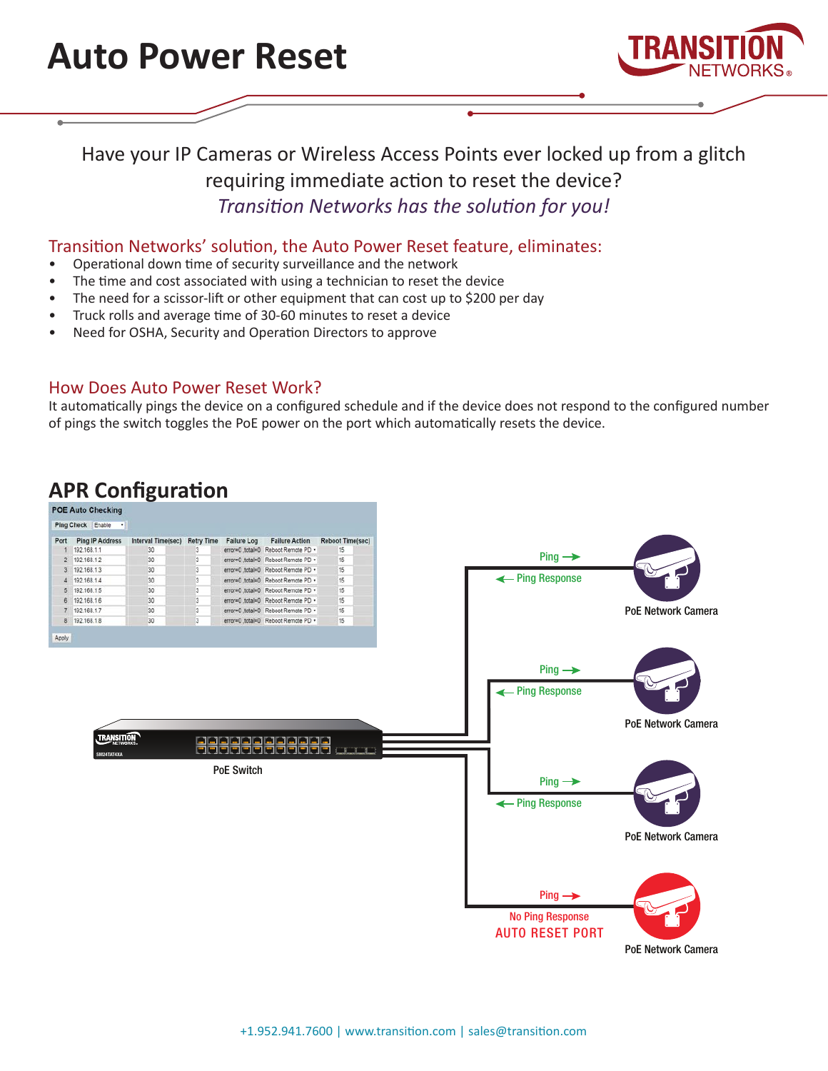



### Have your IP Cameras or Wireless Access Points ever locked up from a glitch requiring immediate action to reset the device? *Transition Networks has the solution for you!*

#### Transition Networks' solution, the Auto Power Reset feature, eliminates:

- Operational down time of security surveillance and the network
- The time and cost associated with using a technician to reset the device
- The need for a scissor-lift or other equipment that can cost up to \$200 per day
- Truck rolls and average time of 30-60 minutes to reset a device
- Need for OSHA, Security and Operation Directors to approve

#### How Does Auto Power Reset Work?

It automatically pings the device on a configured schedule and if the device does not respond to the configured number of pings the switch toggles the PoE power on the port which automatically resets the device.

## **APR Configuration**

| Ing Check Enable<br><b>Retry Time</b><br>ort Ping IP Address<br>Interval Time(sec)<br><b>Failure Log</b><br><b>Failure Action</b><br><b>Reboot Time(sec)</b><br>192.168.1.1<br>30<br>error=0_total=0 Reboot Remote PD .<br>15<br>3<br>$Ping \rightarrow$<br>2 192.168.1.2<br>30<br>15<br>3<br>error=0 ,total=0 Reboot Remote PD .<br>15<br>3 192.168.1.3<br>30<br>error=0_total=0 Reboot Remote PD +<br>3<br>← Ping Response<br>4 192.168.1.4<br>15<br>30<br>3<br>error=0_total=0 Reboot Remote PD .<br>5 192.168.1.5<br>3<br>error=0_total=0 Reboot Remote PD .<br>15<br>30<br>6 192.168.1.6<br>$\overline{3}$<br>error=0_total=0 Reboot Remote PD .<br>15<br>30<br>7 192.168.1.7<br>3<br>error=0 ,total=0 Reboot Remote PD .<br>15<br>30<br>8 192.168.1.8<br>30<br>$\overline{\mathbf{3}}$<br>error=0 ,total=0 Reboot Remote PD +<br>15<br>$Ping \rightarrow$<br>← Ping Response |
|------------------------------------------------------------------------------------------------------------------------------------------------------------------------------------------------------------------------------------------------------------------------------------------------------------------------------------------------------------------------------------------------------------------------------------------------------------------------------------------------------------------------------------------------------------------------------------------------------------------------------------------------------------------------------------------------------------------------------------------------------------------------------------------------------------------------------------------------------------------------------------|
|                                                                                                                                                                                                                                                                                                                                                                                                                                                                                                                                                                                                                                                                                                                                                                                                                                                                                    |
|                                                                                                                                                                                                                                                                                                                                                                                                                                                                                                                                                                                                                                                                                                                                                                                                                                                                                    |
|                                                                                                                                                                                                                                                                                                                                                                                                                                                                                                                                                                                                                                                                                                                                                                                                                                                                                    |
|                                                                                                                                                                                                                                                                                                                                                                                                                                                                                                                                                                                                                                                                                                                                                                                                                                                                                    |
|                                                                                                                                                                                                                                                                                                                                                                                                                                                                                                                                                                                                                                                                                                                                                                                                                                                                                    |
|                                                                                                                                                                                                                                                                                                                                                                                                                                                                                                                                                                                                                                                                                                                                                                                                                                                                                    |
|                                                                                                                                                                                                                                                                                                                                                                                                                                                                                                                                                                                                                                                                                                                                                                                                                                                                                    |
|                                                                                                                                                                                                                                                                                                                                                                                                                                                                                                                                                                                                                                                                                                                                                                                                                                                                                    |
|                                                                                                                                                                                                                                                                                                                                                                                                                                                                                                                                                                                                                                                                                                                                                                                                                                                                                    |
| <b>TRANSITION</b><br>高高高高高高高高高高高                                                                                                                                                                                                                                                                                                                                                                                                                                                                                                                                                                                                                                                                                                                                                                                                                                                   |
| <u>le ele ele ele ele</u><br>$\Box$<br>SM24TAT4XA<br><b>PoE Switch</b><br>$Ping \rightarrow$<br>← Ping Response                                                                                                                                                                                                                                                                                                                                                                                                                                                                                                                                                                                                                                                                                                                                                                    |
| $Ping \rightarrow$                                                                                                                                                                                                                                                                                                                                                                                                                                                                                                                                                                                                                                                                                                                                                                                                                                                                 |